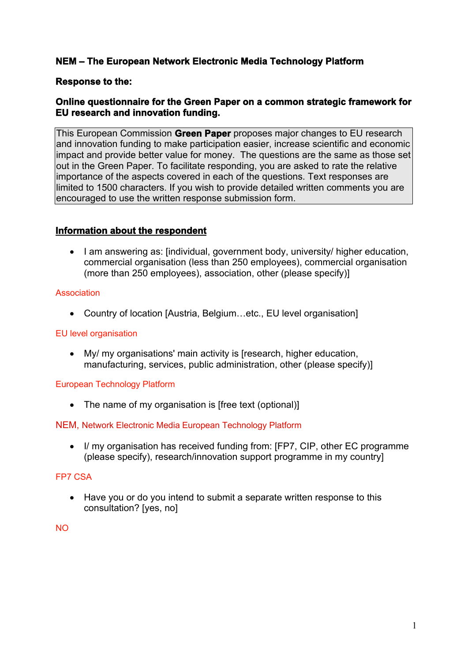# **NEM – The European Network Electronic Media Technology Platform**

## **Response to the:**

## **Online questionnaire for the Green Paper on a common strategic framework for EU research and innovation funding.**

This European Commission **Green Paper** proposes major changes to EU research and innovation funding to make participation easier, increase scientific and economic impact and provide better value for money. The questions are the same as those set out in the Green Paper. To facilitate responding, you are asked to rate the relative importance of the aspects covered in each of the questions. Text responses are limited to 1500 characters. If you wish to provide detailed written comments you are encouraged to use the written response submission form.

## **Information about the respondent**

• I am answering as: [individual, government body, university/ higher education, commercial organisation (less than 250 employees), commercial organisation (more than 250 employees), association, other (please specify)]

## Association

Country of location [Austria, Belgium…etc., EU level organisation]

## EU level organisation

 My/ my organisations' main activity is [research, higher education, manufacturing, services, public administration, other (please specify)]

#### European Technology Platform

• The name of my organisation is Ifree text (optional)]

#### NEM, Network Electronic Media European Technology Platform

 I/ my organisation has received funding from: [FP7, CIP, other EC programme (please specify), research/innovation support programme in my country]

#### FP7 CSA

 Have you or do you intend to submit a separate written response to this consultation? [yes, no]

NO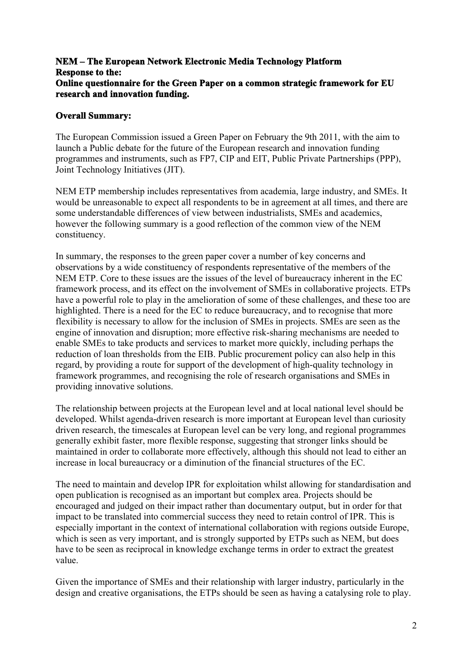### **NEM – The European Network Electronic Media Technology Platform Response to the: Online questionnaire for the Green Paper on a common strategic framework for EU research and innovation funding.**

#### **Overall Summary:**

The European Commission issued a Green Paper on February the 9th 2011, with the aim to launch a Public debate for the future of the European research and innovation funding programmes and instruments, such as FP7, CIP and EIT, Public Private Partnerships (PPP), Joint Technology Initiatives (JIT).

NEM ETP membership includes representatives from academia, large industry, and SMEs. It would be unreasonable to expect all respondents to be in agreement at all times, and there are some understandable differences of view between industrialists, SMEs and academics, however the following summary is a good reflection of the common view of the NEM constituency.

In summary, the responses to the green paper cover a number of key concerns and observations by a wide constituency of respondents representative of the members of the NEM ETP. Core to these issues are the issues of the level of bureaucracy inherent in the EC framework process, and its effect on the involvement of SMEs in collaborative projects. ETPs have a powerful role to play in the amelioration of some of these challenges, and these too are highlighted. There is a need for the EC to reduce bureaucracy, and to recognise that more flexibility is necessary to allow for the inclusion of SMEs in projects. SMEs are seen as the engine of innovation and disruption; more effective risk-sharing mechanisms are needed to enable SMEs to take products and services to market more quickly, including perhaps the reduction of loan thresholds from the EIB. Public procurement policy can also help in this regard, by providing a route for support of the development of high-quality technology in framework programmes, and recognising the role of research organisations and SMEs in providing innovative solutions.

The relationship between projects at the European level and at local national level should be developed. Whilst agenda-driven research is more important at European level than curiosity driven research, the timescales at European level can be very long, and regional programmes generally exhibit faster, more flexible response, suggesting that stronger links should be maintained in order to collaborate more effectively, although this should not lead to either an increase in local bureaucracy or a diminution of the financial structures of the EC.

The need to maintain and develop IPR for exploitation whilst allowing for standardisation and open publication is recognised as an important but complex area. Projects should be encouraged and judged on their impact rather than documentary output, but in order for that impact to be translated into commercial success they need to retain control of IPR. This is especially important in the context of international collaboration with regions outside Europe, which is seen as very important, and is strongly supported by ETPs such as NEM, but does have to be seen as reciprocal in knowledge exchange terms in order to extract the greatest value.

Given the importance of SMEs and their relationship with larger industry, particularly in the design and creative organisations, the ETPs should be seen as having a catalysing role to play.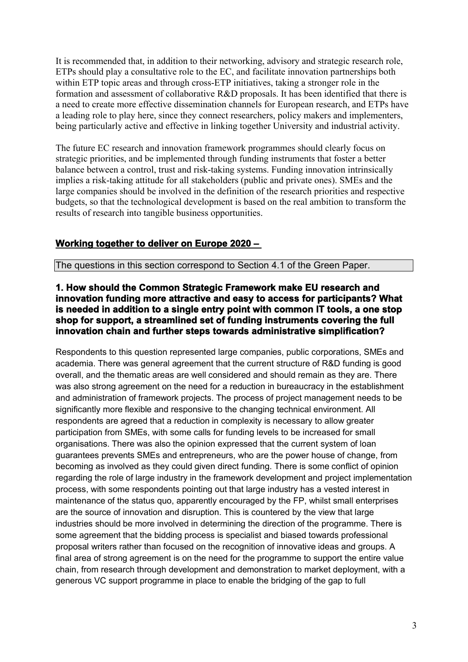It is recommended that, in addition to their networking, advisory and strategic research role, ETPs should play a consultative role to the EC, and facilitate innovation partnerships both within ETP topic areas and through cross-ETP initiatives, taking a stronger role in the formation and assessment of collaborative R&D proposals. It has been identified that there is a need to create more effective dissemination channels for European research, and ETPs have a leading role to play here, since they connect researchers, policy makers and implementers, being particularly active and effective in linking together University and industrial activity.

The future EC research and innovation framework programmes should clearly focus on strategic priorities, and be implemented through funding instruments that foster a better balance between a control, trust and risk-taking systems. Funding innovation intrinsically implies a risk-taking attitude for all stakeholders (public and private ones). SMEs and the large companies should be involved in the definition of the research priorities and respective budgets, so that the technological development is based on the real ambition to transform the results of research into tangible business opportunities.

# **Working together to deliver on Europe 2020 –**

The questions in this section correspond to Section 4.1 of the Green Paper.

#### **1. How should the Common Strategic Framework make EU research and innovation funding more attractive and easy to access for participants? What is needed in addition to a single entry point with common IT tools, a one stop shop for support, a streamlined set of funding instruments covering the full innovation chain and further steps towards administrative simplification?**

Respondents to this question represented large companies, public corporations, SMEs and academia. There was general agreement that the current structure of R&D funding is good overall, and the thematic areas are well considered and should remain as they are. There was also strong agreement on the need for a reduction in bureaucracy in the establishment and administration of framework projects. The process of project management needs to be significantly more flexible and responsive to the changing technical environment. All respondents are agreed that a reduction in complexity is necessary to allow greater participation from SMEs, with some calls for funding levels to be increased for small organisations. There was also the opinion expressed that the current system of loan guarantees prevents SMEs and entrepreneurs, who are the power house of change, from becoming as involved as they could given direct funding. There is some conflict of opinion regarding the role of large industry in the framework development and project implementation process, with some respondents pointing out that large industry has a vested interest in maintenance of the status quo, apparently encouraged by the FP, whilst small enterprises are the source of innovation and disruption. This is countered by the view that large industries should be more involved in determining the direction of the programme. There is some agreement that the bidding process is specialist and biased towards professional proposal writers rather than focused on the recognition of innovative ideas and groups. A final area of strong agreement is on the need for the programme to support the entire value chain, from research through development and demonstration to market deployment, with a generous VC support programme in place to enable the bridging of the gap to full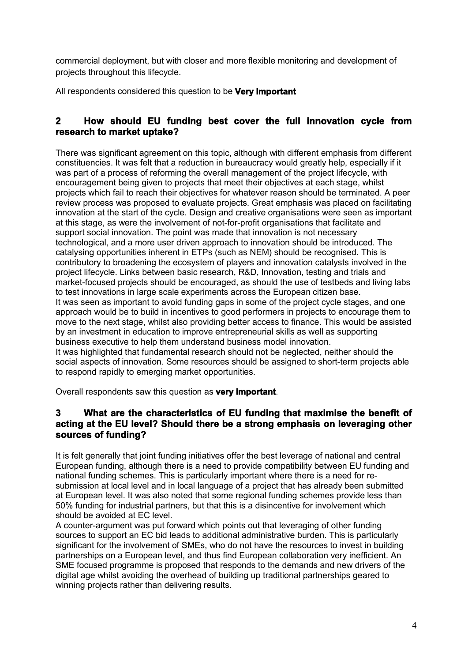commercial deployment, but with closer and more flexible monitoring and development of projects throughout this lifecycle.

All respondents considered this question to be **Very Important**

## **2 How should EU funding best cover the full innovation cycle from research to market uptake?**

There was significant agreement on this topic, although with different emphasis from different constituencies. It was felt that a reduction in bureaucracy would greatly help, especially if it was part of a process of reforming the overall management of the project lifecycle, with encouragement being given to projects that meet their objectives at each stage, whilst projects which fail to reach their objectives for whatever reason should be terminated. A peer review process was proposed to evaluate projects. Great emphasis was placed on facilitating innovation at the start of the cycle. Design and creative organisations were seen as important at this stage, as were the involvement of not-for-profit organisations that facilitate and support social innovation. The point was made that innovation is not necessary technological, and a more user driven approach to innovation should be introduced. The catalysing opportunities inherent in ETPs (such as NEM) should be recognised. This is contributory to broadening the ecosystem of players and innovation catalysts involved in the project lifecycle. Links between basic research, R&D, Innovation, testing and trials and market-focused projects should be encouraged, as should the use of testbeds and living labs to test innovations in large scale experiments across the European citizen base. It was seen as important to avoid funding gaps in some of the project cycle stages, and one approach would be to build in incentives to good performers in projects to encourage them to move to the next stage, whilst also providing better access to finance. This would be assisted by an investment in education to improve entrepreneurial skills as well as supporting business executive to help them understand business model innovation. It was highlighted that fundamental research should not be neglected, neither should the social aspects of innovation. Some resources should be assigned to short-term projects able to respond rapidly to emerging market opportunities.

Overall respondents saw this question as **very important**.

## **3 What are the characteristics of EU funding that maximise the benefit of acting at the EU level? Should there be a strong emphasis on leveraging other sources of funding?**

It is felt generally that joint funding initiatives offer the best leverage of national and central European funding, although there is a need to provide compatibility between EU funding and national funding schemes. This is particularly important where there is a need for resubmission at local level and in local language of a project that has already been submitted at European level. It was also noted that some regional funding schemes provide less than 50% funding for industrial partners, but that this is a disincentive for involvement which should be avoided at EC level.

A counter-argument was put forward which points out that leveraging of other funding sources to support an EC bid leads to additional administrative burden. This is particularly significant for the involvement of SMEs, who do not have the resources to invest in building partnerships on a European level, and thus find European collaboration very inefficient. An SME focused programme is proposed that responds to the demands and new drivers of the digital age whilst avoiding the overhead of building up traditional partnerships geared to winning projects rather than delivering results.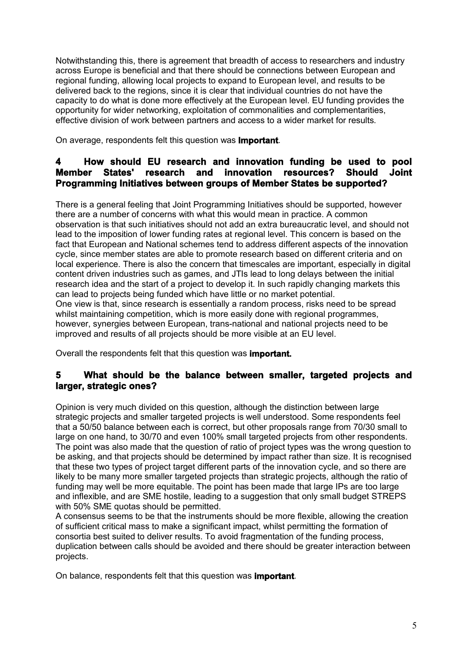Notwithstanding this, there is agreement that breadth of access to researchers and industry across Europe is beneficial and that there should be connections between European and regional funding, allowing local projects to expand to European level, and results to be delivered back to the regions, since it is clear that individual countries do not have the capacity to do what is done more effectively at the European level. EU funding provides the opportunity for wider networking, exploitation of commonalities and complementarities, effective division of work between partners and access to a wider market for results.

On average, respondents felt this question was **Important**.

## **4 How should EU research and innovation funding be used to pool Member States' research and innovation resources? Should Joint Programming Initiatives between groups of Member States be supported?**

There is a general feeling that Joint Programming Initiatives should be supported, however there are a number of concerns with what this would mean in practice. A common observation is that such initiatives should not add an extra bureaucratic level, and should not lead to the imposition of lower funding rates at regional level. This concern is based on the fact that European and National schemes tend to address different aspects of the innovation cycle, since member states are able to promote research based on different criteria and on local experience. There is also the concern that timescales are important, especially in digital content driven industries such as games, and JTIs lead to long delays between the initial research idea and the start of a project to develop it. In such rapidly changing markets this can lead to projects being funded which have little or no market potential. One view is that, since research is essentially a random process, risks need to be spread whilst maintaining competition, which is more easily done with regional programmes, however, synergies between European, trans-national and national projects need to be improved and results of all projects should be more visible at an EU level.

Overall the respondents felt that this question was **important.**

## **5 What should be the balance between smaller, targeted projects and larger, strategic ones?**

Opinion is very much divided on this question, although the distinction between large strategic projects and smaller targeted projects is well understood. Some respondents feel that a 50/50 balance between each is correct, but other proposals range from 70/30 small to large on one hand, to 30/70 and even 100% small targeted projects from other respondents. The point was also made that the question of ratio of project types was the wrong question to be asking, and that projects should be determined by impact rather than size. It is recognised that these two types of project target different parts of the innovation cycle, and so there are likely to be many more smaller targeted projects than strategic projects, although the ratio of funding may well be more equitable. The point has been made that large IPs are too large and inflexible, and are SME hostile, leading to a suggestion that only small budget STREPS with 50% SME quotas should be permitted.

A consensus seems to be that the instruments should be more flexible, allowing the creation of sufficient critical mass to make a significant impact, whilst permitting the formation of consortia best suited to deliver results. To avoid fragmentation of the funding process, duplication between calls should be avoided and there should be greater interaction between projects.

On balance, respondents felt that this question was **important**.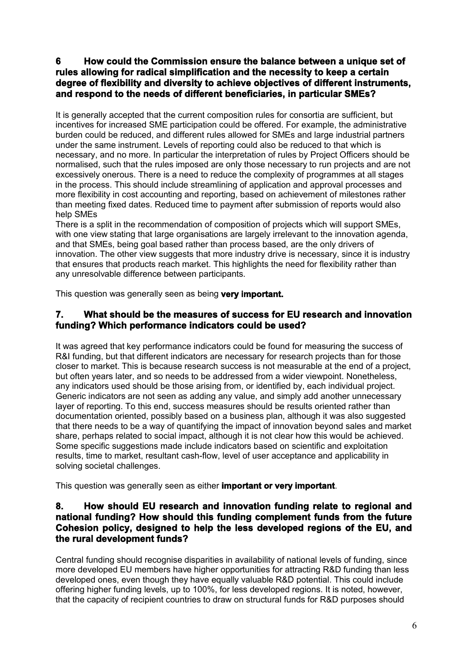### **6 How could the Commission ensure the balance between a unique set of rules allowing for radical simplification and the necessity to keep a certain degree of flexibility and diversity to achieve objectives of different instruments, and respond to the needs of different beneficiaries, in particular SMEs?**

It is generally accepted that the current composition rules for consortia are sufficient, but incentives for increased SME participation could be offered. For example, the administrative burden could be reduced, and different rules allowed for SMEs and large industrial partners under the same instrument. Levels of reporting could also be reduced to that which is necessary, and no more. In particular the interpretation of rules by Project Officers should be normalised, such that the rules imposed are only those necessary to run projects and are not excessively onerous. There is a need to reduce the complexity of programmes at all stages in the process. This should include streamlining of application and approval processes and more flexibility in cost accounting and reporting, based on achievement of milestones rather than meeting fixed dates. Reduced time to payment after submission of reports would also help SMEs

There is a split in the recommendation of composition of projects which will support SMEs, with one view stating that large organisations are largely irrelevant to the innovation agenda, and that SMEs, being goal based rather than process based, are the only drivers of innovation. The other view suggests that more industry drive is necessary, since it is industry that ensures that products reach market. This highlights the need for flexibility rather than any unresolvable difference between participants.

This question was generally seen as being **very important.**

### **7. What should be the measures of success for EU research and innovation funding? Which performance indicators could be used?**

It was agreed that key performance indicators could be found for measuring the success of R&I funding, but that different indicators are necessary for research projects than for those closer to market. This is because research success is not measurable at the end of a project, but often years later, and so needs to be addressed from a wider viewpoint. Nonetheless, any indicators used should be those arising from, or identified by, each individual project. Generic indicators are not seen as adding any value, and simply add another unnecessary layer of reporting. To this end, success measures should be results oriented rather than documentation oriented, possibly based on a business plan, although it was also suggested that there needs to be a way of quantifying the impact of innovation beyond sales and market share, perhaps related to social impact, although it is not clear how this would be achieved. Some specific suggestions made include indicators based on scientific and exploitation results, time to market, resultant cash-flow, level of user acceptance and applicability in solving societal challenges.

This question was generally seen as either **important or very important**.

#### **8. How should EU research and innovation funding relate to regional and national funding? How should this funding complement funds from the future Cohesion policy, designed to help the less developed regions of the EU, and the rural development funds?**

Central funding should recognise disparities in availability of national levels of funding, since more developed EU members have higher opportunities for attracting R&D funding than less developed ones, even though they have equally valuable R&D potential. This could include offering higher funding levels, up to 100%, for less developed regions. It is noted, however, that the capacity of recipient countries to draw on structural funds for R&D purposes should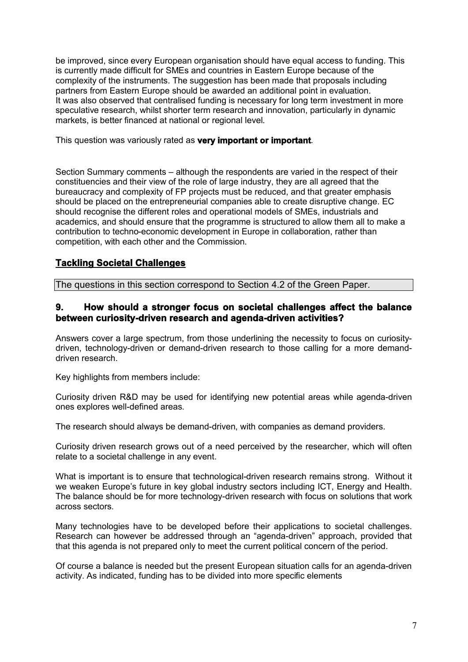be improved, since every European organisation should have equal access to funding. This is currently made difficult for SMEs and countries in Eastern Europe because of the complexity of the instruments. The suggestion has been made that proposals including partners from Eastern Europe should be awarded an additional point in evaluation. It was also observed that centralised funding is necessary for long term investment in more speculative research, whilst shorter term research and innovation, particularly in dynamic markets, is better financed at national or regional level.

This question was variously rated as **very important or important**.

Section Summary comments – although the respondents are varied in the respect of their constituencies and their view of the role of large industry, they are all agreed that the bureaucracy and complexity of FP projects must be reduced, and that greater emphasis should be placed on the entrepreneurial companies able to create disruptive change. EC should recognise the different roles and operational models of SMEs, industrials and academics, and should ensure that the programme is structured to allow them all to make a contribution to techno-economic development in Europe in collaboration, rather than competition, with each other and the Commission.

## **Tackling Societal Challenges**

The questions in this section correspond to Section 4.2 of the Green Paper.

#### **9. How should a stronger focus on societal challenges affect the balance between curiosity-driven research and agenda-driven activities?**

Answers cover a large spectrum, from those underlining the necessity to focus on curiositydriven, technology-driven or demand-driven research to those calling for a more demanddriven research.

Key highlights from members include:

Curiosity driven R&D may be used for identifying new potential areas while agenda-driven ones explores well-defined areas.

The research should always be demand-driven, with companies as demand providers.

Curiosity driven research grows out of a need perceived by the researcher, which will often relate to a societal challenge in any event.

What is important is to ensure that technological-driven research remains strong. Without it we weaken Europe's future in key global industry sectors including ICT, Energy and Health. The balance should be for more technology-driven research with focus on solutions that work across sectors.

Many technologies have to be developed before their applications to societal challenges. Research can however be addressed through an "agenda-driven" approach, provided that that this agenda is not prepared only to meet the current political concern of the period.

Of course a balance is needed but the present European situation calls for an agenda-driven activity. As indicated, funding has to be divided into more specific elements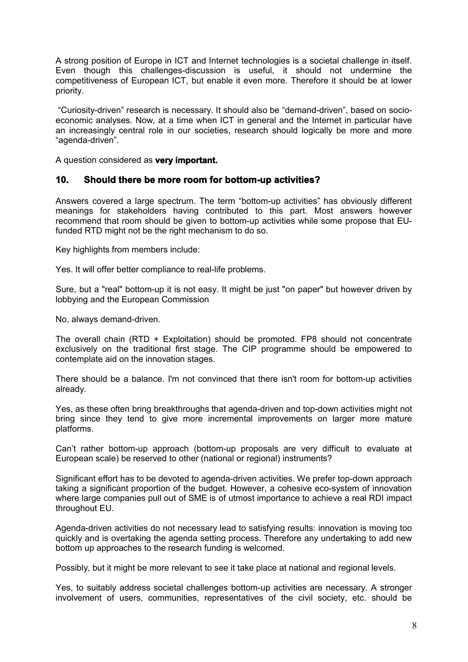A strong position of Europe in ICT and Internet technologies is a societal challenge in itself. Even though this challenges-discussion is useful, it should not undermine the competitiveness of European ICT, but enable it even more. Therefore it should be at lower priority.

 "Curiosity-driven" research is necessary. It should also be "demand-driven", based on socioeconomic analyses. Now, at a time when ICT in general and the Internet in particular have an increasingly central role in our societies, research should logically be more and more "agenda-driven".

A question considered as **very important.**

#### **10. Should there be more room for bottom-up activities?**

Answers covered a large spectrum. The term "bottom-up activities" has obviously different meanings for stakeholders having contributed to this part. Most answers however recommend that room should be given to bottom-up activities while some propose that EUfunded RTD might not be the right mechanism to do so.

Key highlights from members include:

Yes. It will offer better compliance to real-life problems.

Sure, but a "real" bottom-up it is not easy. It might be just "on paper" but however driven by lobbying and the European Commission

No, always demand-driven.

The overall chain (RTD + Exploitation) should be promoted. FP8 should not concentrate exclusively on the traditional first stage. The CIP programme should be empowered to contemplate aid on the innovation stages.

There should be a balance. I'm not convinced that there isn't room for bottom-up activities already.

Yes, as these often bring breakthroughs that agenda-driven and top-down activities might not bring since they tend to give more incremental improvements on larger more mature platforms.

Can't rather bottom-up approach (bottom-up proposals are very difficult to evaluate at European scale) be reserved to other (national or regional) instruments?

Significant effort has to be devoted to agenda-driven activities. We prefer top-down approach taking a significant proportion of the budget. However, a cohesive eco-system of innovation where large companies pull out of SME is of utmost importance to achieve a real RDI impact throughout EU.

Agenda-driven activities do not necessary lead to satisfying results: innovation is moving too quickly and is overtaking the agenda setting process. Therefore any undertaking to add new bottom up approaches to the research funding is welcomed.

Possibly, but it might be more relevant to see it take place at national and regional levels.

Yes, to suitably address societal challenges bottom-up activities are necessary. A stronger involvement of users, communities, representatives of the civil society, etc. should be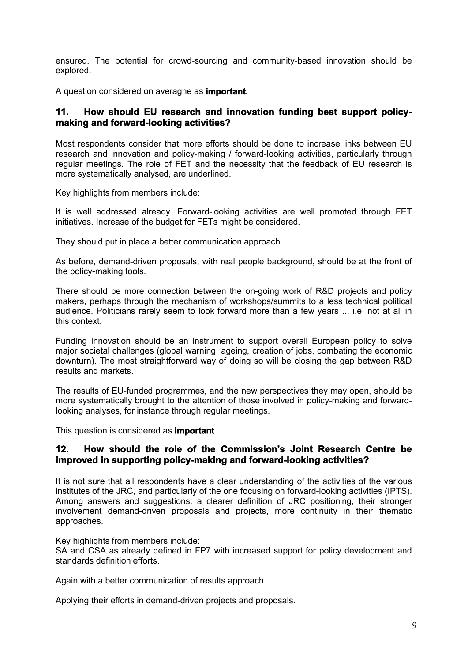ensured. The potential for crowd-sourcing and community-based innovation should be explored.

A question considered on averaghe as **important**.

#### **11. How should EU research and innovation funding best support policymaking and forward-looking activities?**

Most respondents consider that more efforts should be done to increase links between EU research and innovation and policy-making / forward-looking activities, particularly through regular meetings. The role of FET and the necessity that the feedback of EU research is more systematically analysed, are underlined.

Key highlights from members include:

It is well addressed already. Forward-looking activities are well promoted through FET initiatives. Increase of the budget for FETs might be considered.

They should put in place a better communication approach.

As before, demand-driven proposals, with real people background, should be at the front of the policy-making tools.

There should be more connection between the on-going work of R&D projects and policy makers, perhaps through the mechanism of workshops/summits to a less technical political audience. Politicians rarely seem to look forward more than a few years ... i.e. not at all in this context.

Funding innovation should be an instrument to support overall European policy to solve major societal challenges (global warning, ageing, creation of jobs, combating the economic downturn). The most straightforward way of doing so will be closing the gap between R&D results and markets.

The results of EU-funded programmes, and the new perspectives they may open, should be more systematically brought to the attention of those involved in policy-making and forwardlooking analyses, for instance through regular meetings.

This question is considered as **important**.

#### **12. How should the role of the Commission's Joint Research Centre be improved in supporting policy-making and forward-looking activities?**

It is not sure that all respondents have a clear understanding of the activities of the various institutes of the JRC, and particularly of the one focusing on forward-looking activities (IPTS). Among answers and suggestions: a clearer definition of JRC positioning, their stronger involvement demand-driven proposals and projects, more continuity in their thematic approaches.

Key highlights from members include:

SA and CSA as already defined in FP7 with increased support for policy development and standards definition efforts.

Again with a better communication of results approach.

Applying their efforts in demand-driven projects and proposals.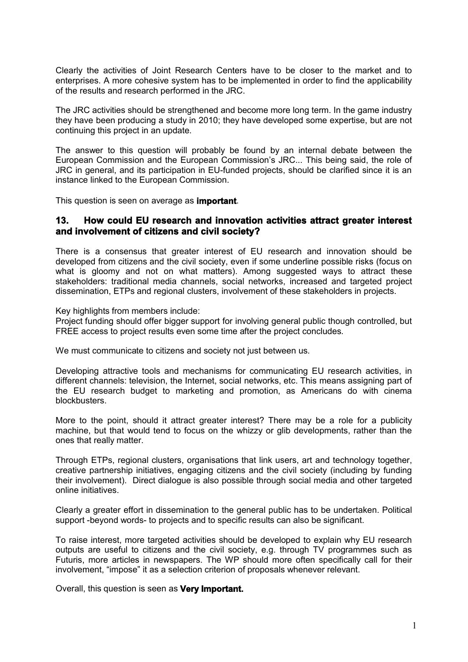Clearly the activities of Joint Research Centers have to be closer to the market and to enterprises. A more cohesive system has to be implemented in order to find the applicability of the results and research performed in the JRC.

The JRC activities should be strengthened and become more long term. In the game industry they have been producing a study in 2010; they have developed some expertise, but are not continuing this project in an update.

The answer to this question will probably be found by an internal debate between the European Commission and the European Commission's JRC... This being said, the role of JRC in general, and its participation in EU-funded projects, should be clarified since it is an instance linked to the European Commission.

This question is seen on average as **important**.

#### **13. How could EU research and innovation activities attract greater interest and involvement of citizens and civil society?**

There is a consensus that greater interest of EU research and innovation should be developed from citizens and the civil society, even if some underline possible risks (focus on what is gloomy and not on what matters). Among suggested ways to attract these stakeholders: traditional media channels, social networks, increased and targeted project dissemination, ETPs and regional clusters, involvement of these stakeholders in projects.

Key highlights from members include:

Project funding should offer bigger support for involving general public though controlled, but FREE access to project results even some time after the project concludes.

We must communicate to citizens and society not just between us.

Developing attractive tools and mechanisms for communicating EU research activities, in different channels: television, the Internet, social networks, etc. This means assigning part of the EU research budget to marketing and promotion, as Americans do with cinema blockbusters.

More to the point, should it attract greater interest? There may be a role for a publicity machine, but that would tend to focus on the whizzy or glib developments, rather than the ones that really matter.

Through ETPs, regional clusters, organisations that link users, art and technology together, creative partnership initiatives, engaging citizens and the civil society (including by funding their involvement). Direct dialogue is also possible through social media and other targeted online initiatives.

Clearly a greater effort in dissemination to the general public has to be undertaken. Political support -beyond words- to projects and to specific results can also be significant.

To raise interest, more targeted activities should be developed to explain why EU research outputs are useful to citizens and the civil society, e.g. through TV programmes such as Futuris, more articles in newspapers. The WP should more often specifically call for their involvement, "impose" it as a selection criterion of proposals whenever relevant.

Overall, this question is seen as **Very Important.**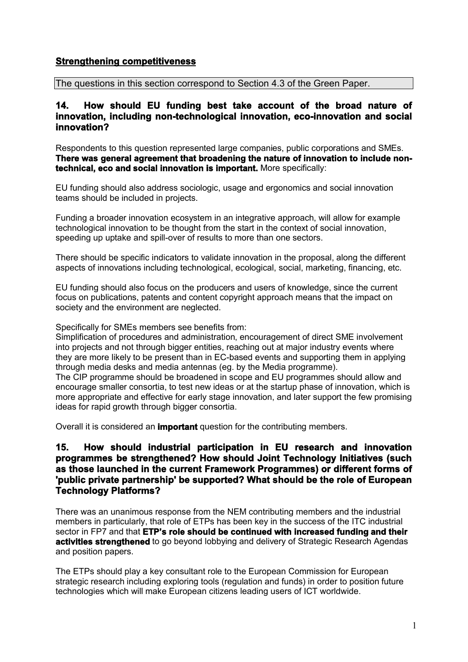## **Strengthening competitiveness**

The questions in this section correspond to Section 4.3 of the Green Paper.

#### **14. How should EU funding best take account of the broad nature of innovation, including non-technological innovation, eco-innovation and social innovation?**

Respondents to this question represented large companies, public corporations and SMEs. **There was general agreement that broadening the nature of innovation to include nontechnical, eco and social innovation is important.** More specifically:

EU funding should also address sociologic, usage and ergonomics and social innovation teams should be included in projects.

Funding a broader innovation ecosystem in an integrative approach, will allow for example technological innovation to be thought from the start in the context of social innovation, speeding up uptake and spill-over of results to more than one sectors.

There should be specific indicators to validate innovation in the proposal, along the different aspects of innovations including technological, ecological, social, marketing, financing, etc.

EU funding should also focus on the producers and users of knowledge, since the current focus on publications, patents and content copyright approach means that the impact on society and the environment are neglected.

Specifically for SMEs members see benefits from:

Simplification of procedures and administration, encouragement of direct SME involvement into projects and not through bigger entities, reaching out at major industry events where they are more likely to be present than in EC-based events and supporting them in applying through media desks and media antennas (eg. by the Media programme).

The CIP programme should be broadened in scope and EU programmes should allow and encourage smaller consortia, to test new ideas or at the startup phase of innovation, which is more appropriate and effective for early stage innovation, and later support the few promising ideas for rapid growth through bigger consortia.

Overall it is considered an **important** question for the contributing members.

#### **15. How should industrial participation in EU research and innovation programmes be strengthened? How should Joint Technology Initiatives (such as those launched in the current Framework Programmes) or different forms of 'public private partnership' be supported? What should be the role of European Technology Platforms?**

There was an unanimous response from the NEM contributing members and the industrial members in particularly, that role of ETPs has been key in the success of the ITC industrial sector in FP7 and that **ETP's role should be continued with increased funding and their activities strengthened** to go beyond lobbying and delivery of Strategic Research Agendas and position papers.

The ETPs should play a key consultant role to the European Commission for European strategic research including exploring tools (regulation and funds) in order to position future technologies which will make European citizens leading users of ICT worldwide.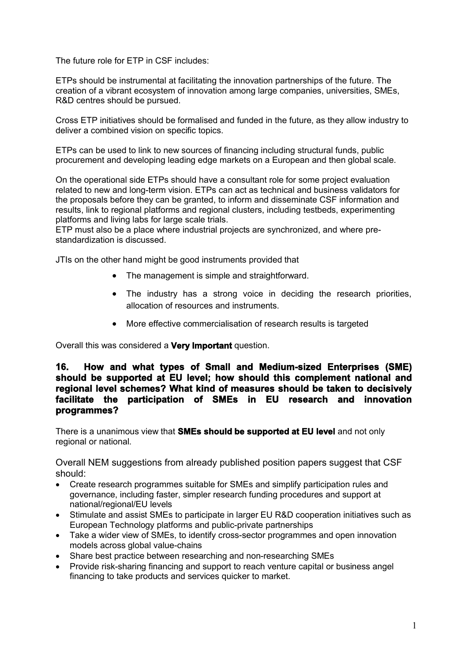The future role for ETP in CSF includes:

ETPs should be instrumental at facilitating the innovation partnerships of the future. The creation of a vibrant ecosystem of innovation among large companies, universities, SMEs, R&D centres should be pursued.

Cross ETP initiatives should be formalised and funded in the future, as they allow industry to deliver a combined vision on specific topics.

ETPs can be used to link to new sources of financing including structural funds, public procurement and developing leading edge markets on a European and then global scale.

On the operational side ETPs should have a consultant role for some project evaluation related to new and long-term vision. ETPs can act as technical and business validators for the proposals before they can be granted, to inform and disseminate CSF information and results, link to regional platforms and regional clusters, including testbeds, experimenting platforms and living labs for large scale trials.

ETP must also be a place where industrial projects are synchronized, and where prestandardization is discussed.

JTIs on the other hand might be good instruments provided that

- The management is simple and straightforward.
- The industry has a strong voice in deciding the research priorities, allocation of resources and instruments.
- More effective commercialisation of research results is targeted

Overall this was considered a **Very Important** question.

#### **16. How and what types of Small and Medium-sized Enterprises (SME) should be supported at EU level; how should this complement national and regional level schemes? What kind of measures should be taken to decisively facilitate the participation of SMEs in EU research and innovation programmes?**

There is a unanimous view that **SMEs should be supported at EU level** and not only regional or national.

Overall NEM suggestions from already published position papers suggest that CSF should:

- Create research programmes suitable for SMEs and simplify participation rules and governance, including faster, simpler research funding procedures and support at national/regional/EU levels
- Stimulate and assist SMEs to participate in larger EU R&D cooperation initiatives such as European Technology platforms and public-private partnerships
- Take a wider view of SMEs, to identify cross-sector programmes and open innovation models across global value-chains
- Share best practice between researching and non-researching SMEs
- Provide risk-sharing financing and support to reach venture capital or business angel financing to take products and services quicker to market.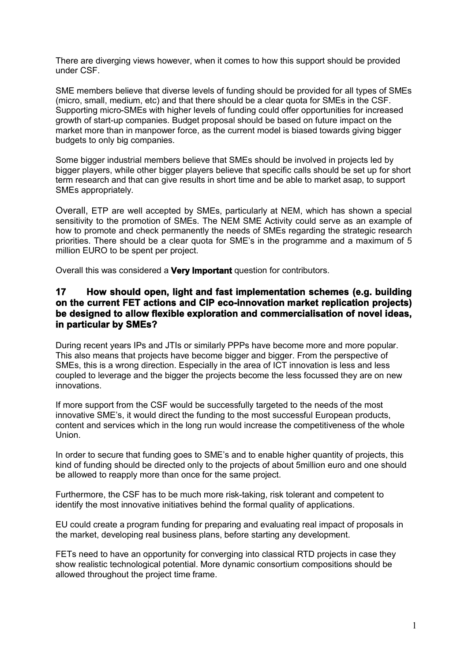There are diverging views however, when it comes to how this support should be provided under CSF.

SME members believe that diverse levels of funding should be provided for all types of SMEs (micro, small, medium, etc) and that there should be a clear quota for SMEs in the CSF. Supporting micro-SMEs with higher levels of funding could offer opportunities for increased growth of start-up companies. Budget proposal should be based on future impact on the market more than in manpower force, as the current model is biased towards giving bigger budgets to only big companies.

Some bigger industrial members believe that SMEs should be involved in projects led by bigger players, while other bigger players believe that specific calls should be set up for short term research and that can give results in short time and be able to market asap, to support SMEs appropriately.

Overall, ETP are well accepted by SMEs, particularly at NEM, which has shown a special sensitivity to the promotion of SMEs. The NEM SME Activity could serve as an example of how to promote and check permanently the needs of SMEs regarding the strategic research priorities. There should be a clear quota for SME's in the programme and a maximum of 5 million EURO to be spent per project.

Overall this was considered a **Very Important** question for contributors.

#### **17 How should open, light and fast implementation schemes (e.g. building on the current FET actions and CIP eco-innovation market replication projects) be designed to allow flexible exploration and commercialisation of novel ideas, in particular by SMEs?**

During recent years IPs and JTIs or similarly PPPs have become more and more popular. This also means that projects have become bigger and bigger. From the perspective of SMEs, this is a wrong direction. Especially in the area of ICT innovation is less and less coupled to leverage and the bigger the projects become the less focussed they are on new innovations.

If more support from the CSF would be successfully targeted to the needs of the most innovative SME's, it would direct the funding to the most successful European products, content and services which in the long run would increase the competitiveness of the whole Union.

In order to secure that funding goes to SME's and to enable higher quantity of projects, this kind of funding should be directed only to the projects of about 5million euro and one should be allowed to reapply more than once for the same project.

Furthermore, the CSF has to be much more risk-taking, risk tolerant and competent to identify the most innovative initiatives behind the formal quality of applications.

EU could create a program funding for preparing and evaluating real impact of proposals in the market, developing real business plans, before starting any development.

FETs need to have an opportunity for converging into classical RTD projects in case they show realistic technological potential. More dynamic consortium compositions should be allowed throughout the project time frame.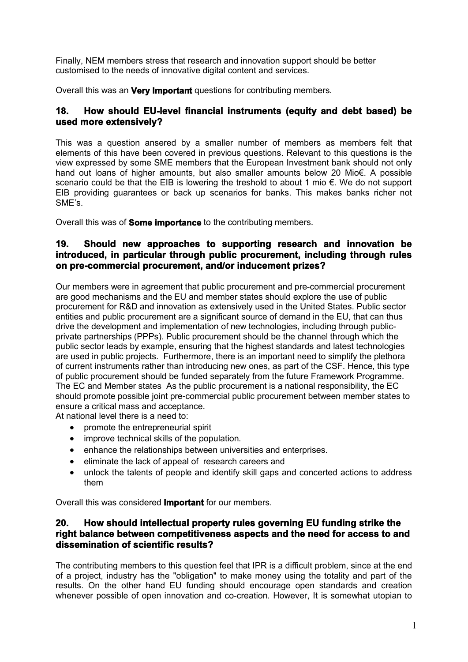Finally, NEM members stress that research and innovation support should be better customised to the needs of innovative digital content and services.

Overall this was an **Very Important** questions for contributing members.

### **18. How should EU-level financial instruments (equity and debt based) be used more extensively?**

This was a question ansered by a smaller number of members as members felt that elements of this have been covered in previous questions. Relevant to this questions is the view expressed by some SME members that the European Investment bank should not only hand out loans of higher amounts, but also smaller amounts below 20 Mio€. A possible scenario could be that the EIB is lowering the treshold to about 1 mio €. We do not support EIB providing guarantees or back up scenarios for banks. This makes banks richer not SME's.

Overall this was of **Some importance** to the contributing members.

## **19. Should new approaches to supporting research and innovation be introduced, in particular through public procurement, including through rules on pre-commercial procurement, and/or inducement prizes?**

Our members were in agreement that public procurement and pre-commercial procurement are good mechanisms and the EU and member states should explore the use of public procurement for R&D and innovation as extensively used in the United States. Public sector entities and public procurement are a significant source of demand in the EU, that can thus drive the development and implementation of new technologies, including through publicprivate partnerships (PPPs). Public procurement should be the channel through which the public sector leads by example, ensuring that the highest standards and latest technologies are used in public projects. Furthermore, there is an important need to simplify the plethora of current instruments rather than introducing new ones, as part of the CSF. Hence, this type of public procurement should be funded separately from the future Framework Programme. The EC and Member states As the public procurement is a national responsibility, the EC should promote possible joint pre-commercial public procurement between member states to ensure a critical mass and acceptance.

At national level there is a need to:

- promote the entrepreneurial spirit
- improve technical skills of the population.
- enhance the relationships between universities and enterprises.
- eliminate the lack of appeal of research careers and
- unlock the talents of people and identify skill gaps and concerted actions to address them

Overall this was considered **Important** for our members.

#### **20. How should intellectual property rules governing EU funding strike the right balance between competitiveness aspects and the need for access to and dissemination of scientific results?**

The contributing members to this question feel that IPR is a difficult problem, since at the end of a project, industry has the "obligation" to make money using the totality and part of the results. On the other hand EU funding should encourage open standards and creation whenever possible of open innovation and co-creation. However, It is somewhat utopian to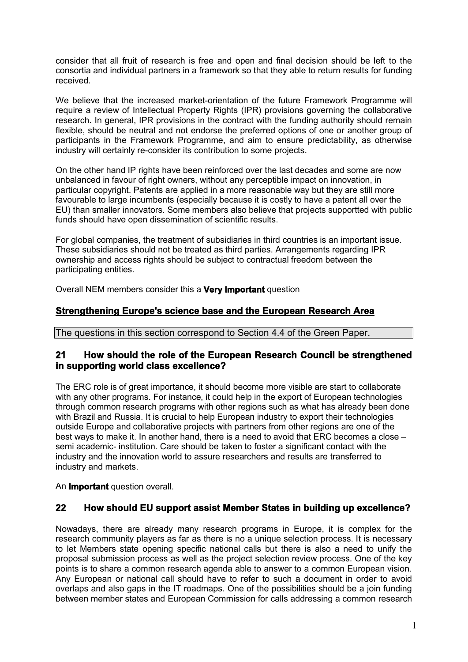consider that all fruit of research is free and open and final decision should be left to the consortia and individual partners in a framework so that they able to return results for funding received.

We believe that the increased market-orientation of the future Framework Programme will require a review of Intellectual Property Rights (IPR) provisions governing the collaborative research. In general, IPR provisions in the contract with the funding authority should remain flexible, should be neutral and not endorse the preferred options of one or another group of participants in the Framework Programme, and aim to ensure predictability, as otherwise industry will certainly re-consider its contribution to some projects.

On the other hand IP rights have been reinforced over the last decades and some are now unbalanced in favour of right owners, without any perceptible impact on innovation, in particular copyright. Patents are applied in a more reasonable way but they are still more favourable to large incumbents (especially because it is costly to have a patent all over the EU) than smaller innovators. Some members also believe that projects supportted with public funds should have open dissemination of scientific results.

For global companies, the treatment of subsidiaries in third countries is an important issue. These subsidiaries should not be treated as third parties. Arrangements regarding IPR ownership and access rights should be subject to contractual freedom between the participating entities.

Overall NEM members consider this a **Very Important** question

# **Strengthening Europe's science base and the European Research Area**

The questions in this section correspond to Section 4.4 of the Green Paper.

#### **21 How should the role of the European Research Council be strengthened in supporting world class excellence?**

The ERC role is of great importance, it should become more visible are start to collaborate with any other programs. For instance, it could help in the export of European technologies through common research programs with other regions such as what has already been done with Brazil and Russia. It is crucial to help European industry to export their technologies outside Europe and collaborative projects with partners from other regions are one of the best ways to make it. In another hand, there is a need to avoid that ERC becomes a close – semi academic- institution. Care should be taken to foster a significant contact with the industry and the innovation world to assure researchers and results are transferred to industry and markets.

An **Important** question overall.

#### **22 How should EU support assist Member States in building up excellence?**

Nowadays, there are already many research programs in Europe, it is complex for the research community players as far as there is no a unique selection process. It is necessary to let Members state opening specific national calls but there is also a need to unify the proposal submission process as well as the project selection review process. One of the key points is to share a common research agenda able to answer to a common European vision. Any European or national call should have to refer to such a document in order to avoid overlaps and also gaps in the IT roadmaps. One of the possibilities should be a join funding between member states and European Commission for calls addressing a common research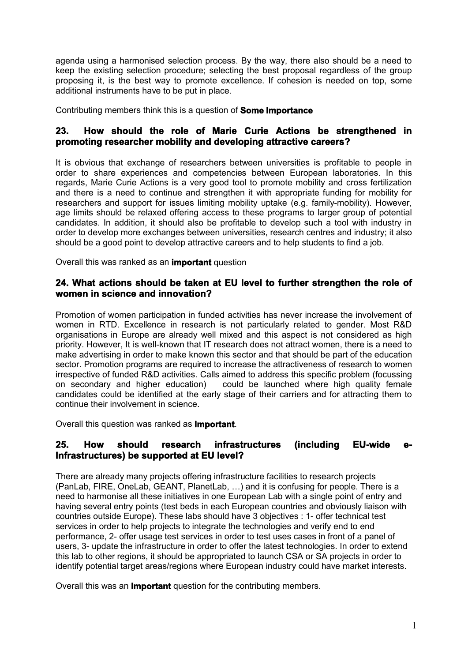agenda using a harmonised selection process. By the way, there also should be a need to keep the existing selection procedure; selecting the best proposal regardless of the group proposing it, is the best way to promote excellence. If cohesion is needed on top, some additional instruments have to be put in place.

Contributing members think this is a question of **Some Importance**

## **23. How should the role of Marie Curie Actions be strengthened in promoting researcher mobility and developing attractive careers?**

It is obvious that exchange of researchers between universities is profitable to people in order to share experiences and competencies between European laboratories. In this regards, Marie Curie Actions is a very good tool to promote mobility and cross fertilization and there is a need to continue and strengthen it with appropriate funding for mobility for researchers and support for issues limiting mobility uptake (e.g. family-mobility). However, age limits should be relaxed offering access to these programs to larger group of potential candidates. In addition, it should also be profitable to develop such a tool with industry in order to develop more exchanges between universities, research centres and industry; it also should be a good point to develop attractive careers and to help students to find a job.

Overall this was ranked as an **important** question

### **24. What actions should be taken at EU level to further strengthen the role of women in science and innovation?**

Promotion of women participation in funded activities has never increase the involvement of women in RTD. Excellence in research is not particularly related to gender. Most R&D organisations in Europe are already well mixed and this aspect is not considered as high priority. However, It is well-known that IT research does not attract women, there is a need to make advertising in order to make known this sector and that should be part of the education sector. Promotion programs are required to increase the attractiveness of research to women irrespective of funded R&D activities. Calls aimed to address this specific problem (focussing on secondary and higher education) could be launched where high quality female candidates could be identified at the early stage of their carriers and for attracting them to continue their involvement in science.

Overall this question was ranked as **Important**.

#### 25. How should research infrastructures (including EU-wide **Infrastructures) be supported at EU level?**

There are already many projects offering infrastructure facilities to research projects (PanLab, FIRE, OneLab, GEANT, PlanetLab, …) and it is confusing for people. There is a need to harmonise all these initiatives in one European Lab with a single point of entry and having several entry points (test beds in each European countries and obviously liaison with countries outside Europe). These labs should have 3 objectives : 1- offer technical test services in order to help projects to integrate the technologies and verify end to end performance, 2- offer usage test services in order to test uses cases in front of a panel of users, 3- update the infrastructure in order to offer the latest technologies. In order to extend this lab to other regions, it should be appropriated to launch CSA or SA projects in order to identify potential target areas/regions where European industry could have market interests.

Overall this was an **Important** question for the contributing members.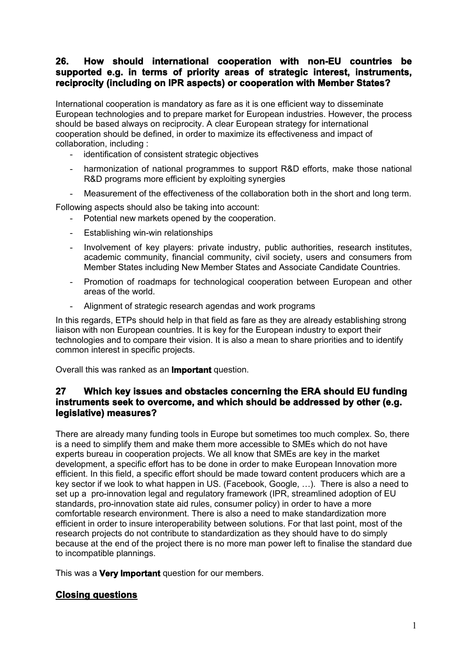## **26. How should international cooperation with non-EU countries be supported e.g. in terms of priority areas of strategic interest, instruments, reciprocity (including on IPR aspects) or cooperation with Member States?**

International cooperation is mandatory as fare as it is one efficient way to disseminate European technologies and to prepare market for European industries. However, the process should be based always on reciprocity. A clear European strategy for international cooperation should be defined, in order to maximize its effectiveness and impact of collaboration, including :

- identification of consistent strategic objectives
- harmonization of national programmes to support R&D efforts, make those national R&D programs more efficient by exploiting synergies
- Measurement of the effectiveness of the collaboration both in the short and long term.

Following aspects should also be taking into account:

- Potential new markets opened by the cooperation.
- Establishing win-win relationships
- Involvement of key players: private industry, public authorities, research institutes, academic community, financial community, civil society, users and consumers from Member States including New Member States and Associate Candidate Countries.
- Promotion of roadmaps for technological cooperation between European and other areas of the world.
- Alignment of strategic research agendas and work programs

In this regards, ETPs should help in that field as fare as they are already establishing strong liaison with non European countries. It is key for the European industry to export their technologies and to compare their vision. It is also a mean to share priorities and to identify common interest in specific projects.

Overall this was ranked as an **Important** question.

#### **27 Which key issues and obstacles concerning the ERA should EU funding instruments seek to overcome, and which should be addressed by other (e.g. legislative) measures?**

There are already many funding tools in Europe but sometimes too much complex. So, there is a need to simplify them and make them more accessible to SMEs which do not have experts bureau in cooperation projects. We all know that SMEs are key in the market development, a specific effort has to be done in order to make European Innovation more efficient. In this field, a specific effort should be made toward content producers which are a key sector if we look to what happen in US. (Facebook, Google, …). There is also a need to set up a pro-innovation legal and regulatory framework (IPR, streamlined adoption of EU standards, pro-innovation state aid rules, consumer policy) in order to have a more comfortable research environment. There is also a need to make standardization more efficient in order to insure interoperability between solutions. For that last point, most of the research projects do not contribute to standardization as they should have to do simply because at the end of the project there is no more man power left to finalise the standard due to incompatible plannings.

This was a **Very Important** question for our members.

#### **Closing questions**